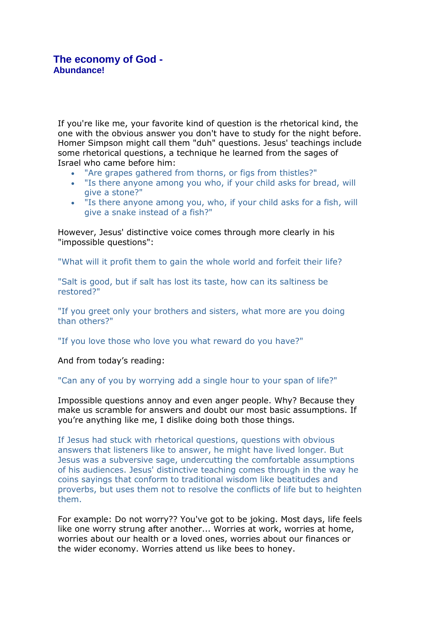If you're like me, your favorite kind of question is the rhetorical kind, the one with the obvious answer you don't have to study for the night before. Homer Simpson might call them "duh" questions. Jesus' teachings include some rhetorical questions, a technique he learned from the sages of Israel who came before him:

- "Are grapes gathered from thorns, or figs from thistles?"
- "Is there anyone among you who, if your child asks for bread, will give a stone?"
- "Is there anyone among you, who, if your child asks for a fish, will give a snake instead of a fish?"

However, Jesus' distinctive voice comes through more clearly in his "impossible questions":

"What will it profit them to gain the whole world and forfeit their life?

"Salt is good, but if salt has lost its taste, how can its saltiness be restored?"

"If you greet only your brothers and sisters, what more are you doing than others?"

"If you love those who love you what reward do you have?"

And from today's reading:

"Can any of you by worrying add a single hour to your span of life?"

Impossible questions annoy and even anger people. Why? Because they make us scramble for answers and doubt our most basic assumptions. If you're anything like me, I dislike doing both those things.

If Jesus had stuck with rhetorical questions, questions with obvious answers that listeners like to answer, he might have lived longer. But Jesus was a subversive sage, undercutting the comfortable assumptions of his audiences. Jesus' distinctive teaching comes through in the way he coins sayings that conform to traditional wisdom like beatitudes and proverbs, but uses them not to resolve the conflicts of life but to heighten them.

For example: Do not worry?? You've got to be joking. Most days, life feels like one worry strung after another... Worries at work, worries at home, worries about our health or a loved ones, worries about our finances or the wider economy. Worries attend us like bees to honey.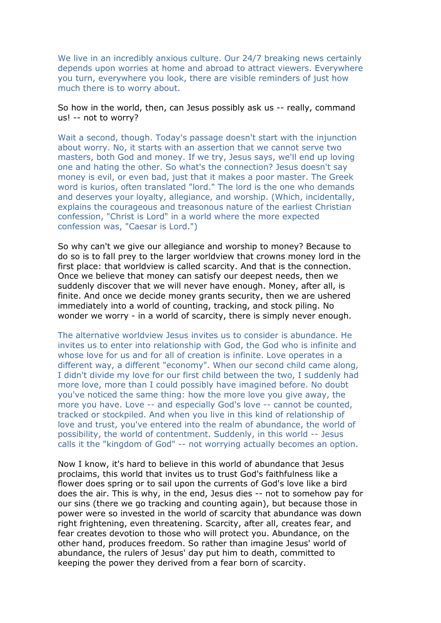We live in an incredibly anxious culture. Our 24/7 breaking news certainly depends upon worries at home and abroad to attract viewers. Everywhere you turn, everywhere you look, there are visible reminders of just how much there is to worry about.

So how in the world, then, can Jesus possibly ask us -- really, command us! -- not to worry?

Wait a second, though. Today's passage doesn't start with the injunction about worry. No, it starts with an assertion that we cannot serve two masters, both God and money. If we try, Jesus says, we'll end up loving one and hating the other. So what's the connection? Jesus doesn't say money is evil, or even bad, just that it makes a poor master. The Greek word is kurios, often translated "lord." The lord is the one who demands and deserves your loyalty, allegiance, and worship. (Which, incidentally, explains the courageous and treasonous nature of the earliest Christian confession, "Christ is Lord" in a world where the more expected confession was, "Caesar is Lord.")

So why can't we give our allegiance and worship to money? Because to do so is to fall prey to the larger worldview that crowns money lord in the first place: that worldview is called scarcity. And that is the connection. Once we believe that money can satisfy our deepest needs, then we suddenly discover that we will never have enough. Money, after all, is finite. And once we decide money grants security, then we are ushered immediately into a world of counting, tracking, and stock piling. No wonder we worry - in a world of scarcity, there is simply never enough.

The alternative worldview Jesus invites us to consider is abundance. He invites us to enter into relationship with God, the God who is infinite and whose love for us and for all of creation is infinite. Love operates in a different way, a different "economy". When our second child came along, I didn't divide my love for our first child between the two, I suddenly had more love, more than I could possibly have imagined before. No doubt you've noticed the same thing: how the more love you give away, the more you have. Love -- and especially God's love -- cannot be counted, tracked or stockpiled. And when you live in this kind of relationship of love and trust, you've entered into the realm of abundance, the world of possibility, the world of contentment. Suddenly, in this world -- Jesus calls it the "kingdom of God" -- not worrying actually becomes an option.

Now I know, it's hard to believe in this world of abundance that Jesus proclaims, this world that invites us to trust God's faithfulness like a flower does spring or to sail upon the currents of God's love like a bird does the air. This is why, in the end, Jesus dies -- not to somehow pay for our sins (there we go tracking and counting again), but because those in power were so invested in the world of scarcity that abundance was down right frightening, even threatening. Scarcity, after all, creates fear, and fear creates devotion to those who will protect you. Abundance, on the other hand, produces freedom. So rather than imagine Jesus' world of abundance, the rulers of Jesus' day put him to death, committed to keeping the power they derived from a fear born of scarcity.